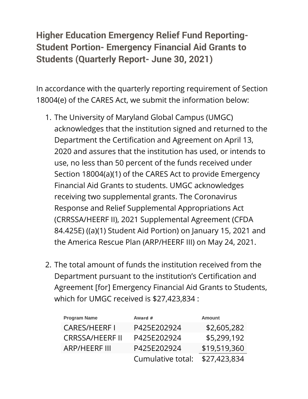## **Higher Education Emergency Relief Fund Reporting-Student Portion- Emergency Financial Aid Grants to Students (Quarterly Report- June 30, 2021)**

In accordance with the quarterly reporting requirement of Section 18004(e) of the CARES Act, we submit the information below:

- 1. The University of Maryland Global Campus (UMGC) acknowledges that the institution signed and returned to the Department the Certification and Agreement on April 13, 2020 and assures that the institution has used, or intends to use, no less than 50 percent of the funds received under Section 18004(a)(1) of the CARES Act to provide Emergency Financial Aid Grants to students. UMGC acknowledges receiving two supplemental grants. The Coronavirus Response and Relief Supplemental Appropriations Act (CRRSSA/HEERF II), 2021 Supplemental Agreement (CFDA 84.425E) ((a)(1) Student Aid Portion) on January 15, 2021 and the America Rescue Plan (ARP/HEERF III) on May 24, 2021.
- 2. The total amount of funds the institution received from the Department pursuant to the institution's Certification and Agreement [for] Emergency Financial Aid Grants to Students, which for UMGC received is \$27,423,834 :

| <b>Program Name</b>    | Award #           | <b>Amount</b> |
|------------------------|-------------------|---------------|
| <b>CARES/HEERFI</b>    | P425E202924       | \$2,605,282   |
| <b>CRRSSA/HEERF II</b> | P425E202924       | \$5,299,192   |
| <b>ARP/HEERF III</b>   | P425E202924       | \$19,519,360  |
|                        | Cumulative total: | \$27,423,834  |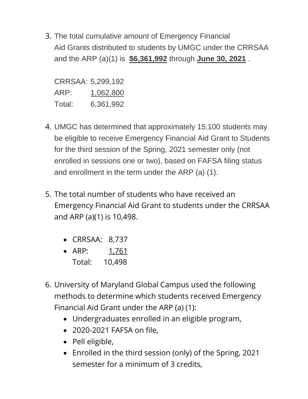3. The total cumulative amount of Emergency Financial Aid Grants distributed to students by UMGC under the CRRSAA and the ARP (a)(1) is **\$6,361,992** through **June 30, 2021** .

CRRSAA: 5,299,192 ARP: 1,062,800 Total: 6,361,992

- 4. UMGC has determined that approximately 15,100 students may be eligible to receive Emergency Financial Aid Grant to Students for the third session of the Spring, 2021 semester only (not enrolled in sessions one or two), based on FAFSA filing status and enrollment in the term under the ARP (a) (1).
- 5. The total number of students who have received an Emergency Financial Aid Grant to students under the CRRSAA and ARP (a)(1) is 10,498.
	- CRRSAA: 8,737
	- ARP: 1,761 Total: 10,498
- 6. University of Maryland Global Campus used the following methods to determine which students received Emergency Financial Aid Grant under the ARP (a) (1):
	- Undergraduates enrolled in an eligible program,
	- 2020-2021 FAFSA on file,
	- Pell eligible,
	- Enrolled in the third session (only) of the Spring, 2021 semester for a minimum of 3 credits,